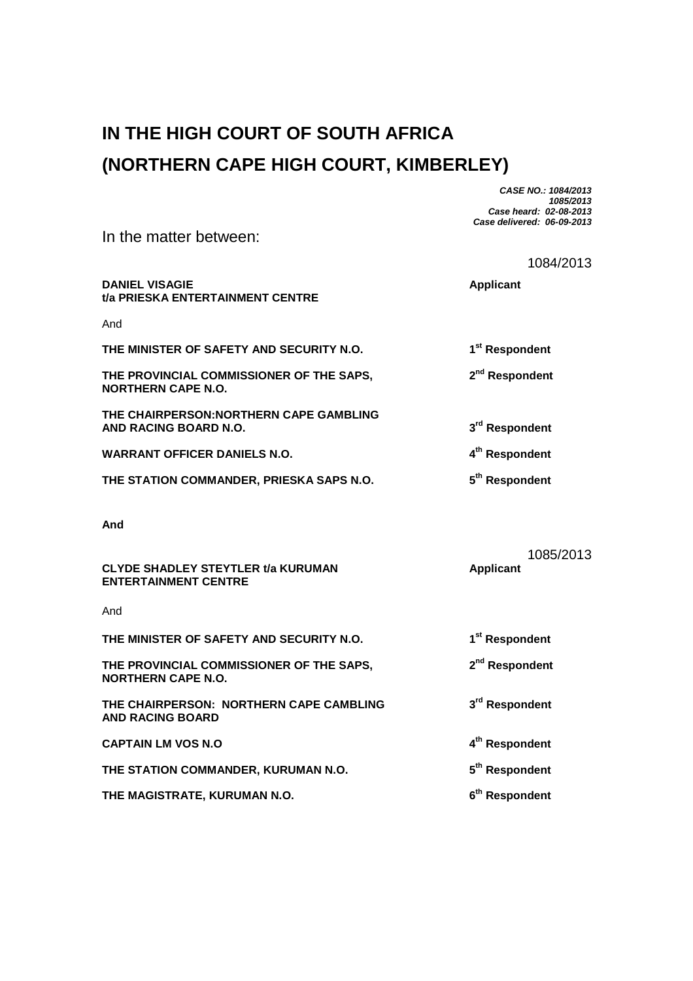## **IN THE HIGH COURT OF SOUTH AFRICA (NORTHERN CAPE HIGH COURT, KIMBERLEY)**

**CASE NO.: 1084/2013 1085/2013 Case heard: 02-08-2013 Case delivered: 06-09-2013** 

|                                                                          | 1084/2013                  |
|--------------------------------------------------------------------------|----------------------------|
| <b>DANIEL VISAGIE</b><br>t/a PRIESKA ENTERTAINMENT CENTRE                | <b>Applicant</b>           |
| And                                                                      |                            |
| THE MINISTER OF SAFETY AND SECURITY N.O.                                 | 1 <sup>st</sup> Respondent |
| THE PROVINCIAL COMMISSIONER OF THE SAPS,<br><b>NORTHERN CAPE N.O.</b>    | 2 <sup>nd</sup> Respondent |
| THE CHAIRPERSON: NORTHERN CAPE GAMBLING<br>AND RACING BOARD N.O.         | 3rd Respondent             |
| <b>WARRANT OFFICER DANIELS N.O.</b>                                      | 4 <sup>th</sup> Respondent |
| THE STATION COMMANDER, PRIESKA SAPS N.O.                                 | 5 <sup>th</sup> Respondent |
| And                                                                      | 1085/2013                  |
| <b>CLYDE SHADLEY STEYTLER t/a KURUMAN</b><br><b>ENTERTAINMENT CENTRE</b> | <b>Applicant</b>           |
| And                                                                      |                            |
| THE MINISTER OF SAFETY AND SECURITY N.O.                                 | 1 <sup>st</sup> Respondent |
| THE PROVINCIAL COMMISSIONER OF THE SAPS,<br><b>NORTHERN CAPE N.O.</b>    | 2 <sup>nd</sup> Respondent |
| THE CHAIRPERSON: NORTHERN CAPE CAMBLING<br><b>AND RACING BOARD</b>       | 3 <sup>rd</sup> Respondent |
| <b>CAPTAIN LM VOS N.O.</b>                                               | 4 <sup>th</sup> Respondent |
| THE STATION COMMANDER, KURUMAN N.O.                                      | 5 <sup>th</sup> Respondent |
|                                                                          |                            |

THE MAGISTRATE, KURUMAN N.O. **6<sup>th</sup> Respondent** 

In the matter between: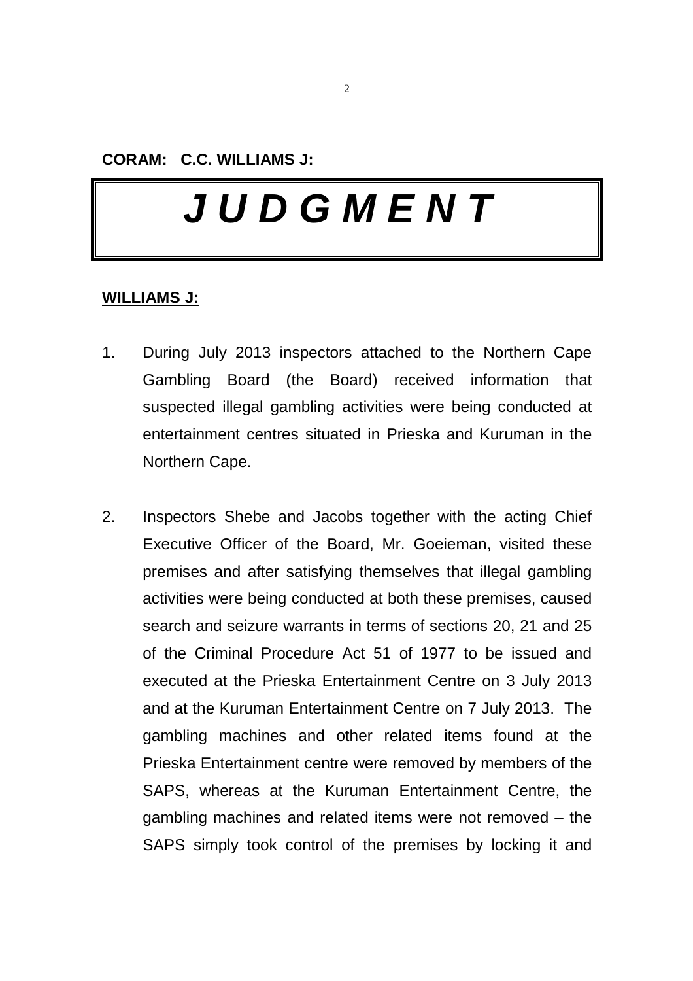**CORAM: C.C. WILLIAMS J:** 

# **J U D G M E N T**

#### **WILLIAMS J:**

- 1. During July 2013 inspectors attached to the Northern Cape Gambling Board (the Board) received information that suspected illegal gambling activities were being conducted at entertainment centres situated in Prieska and Kuruman in the Northern Cape.
- 2. Inspectors Shebe and Jacobs together with the acting Chief Executive Officer of the Board, Mr. Goeieman, visited these premises and after satisfying themselves that illegal gambling activities were being conducted at both these premises, caused search and seizure warrants in terms of sections 20, 21 and 25 of the Criminal Procedure Act 51 of 1977 to be issued and executed at the Prieska Entertainment Centre on 3 July 2013 and at the Kuruman Entertainment Centre on 7 July 2013. The gambling machines and other related items found at the Prieska Entertainment centre were removed by members of the SAPS, whereas at the Kuruman Entertainment Centre, the gambling machines and related items were not removed – the SAPS simply took control of the premises by locking it and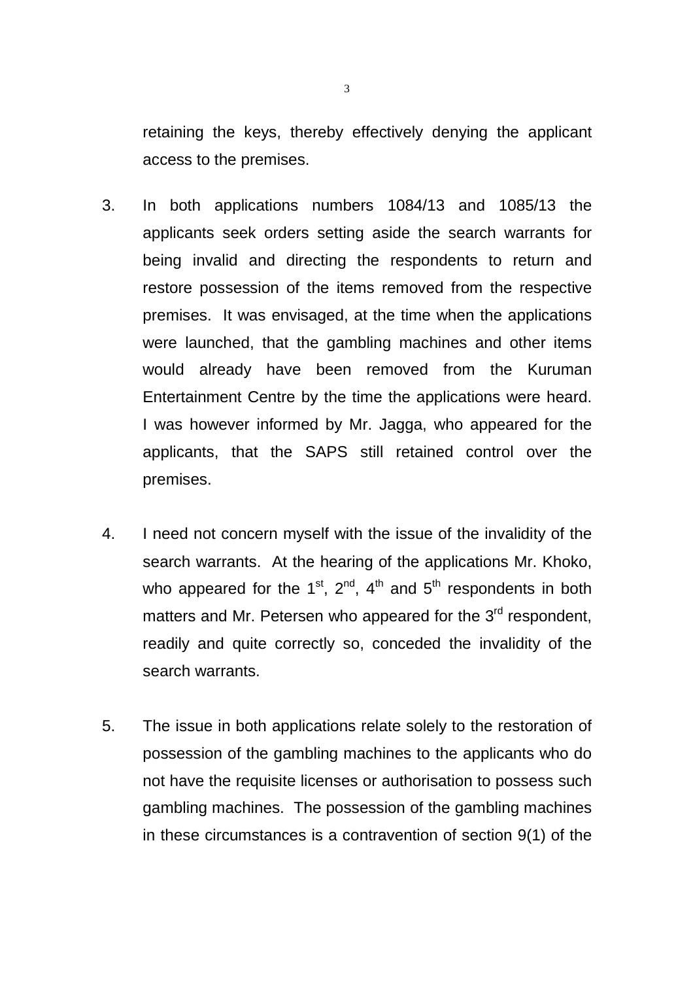retaining the keys, thereby effectively denying the applicant access to the premises.

- 3. In both applications numbers 1084/13 and 1085/13 the applicants seek orders setting aside the search warrants for being invalid and directing the respondents to return and restore possession of the items removed from the respective premises. It was envisaged, at the time when the applications were launched, that the gambling machines and other items would already have been removed from the Kuruman Entertainment Centre by the time the applications were heard. I was however informed by Mr. Jagga, who appeared for the applicants, that the SAPS still retained control over the premises.
- 4. I need not concern myself with the issue of the invalidity of the search warrants. At the hearing of the applications Mr. Khoko, who appeared for the 1<sup>st</sup>,  $2^{nd}$ ,  $4^{th}$  and  $5^{th}$  respondents in both matters and Mr. Petersen who appeared for the 3<sup>rd</sup> respondent, readily and quite correctly so, conceded the invalidity of the search warrants.
- 5. The issue in both applications relate solely to the restoration of possession of the gambling machines to the applicants who do not have the requisite licenses or authorisation to possess such gambling machines. The possession of the gambling machines in these circumstances is a contravention of section 9(1) of the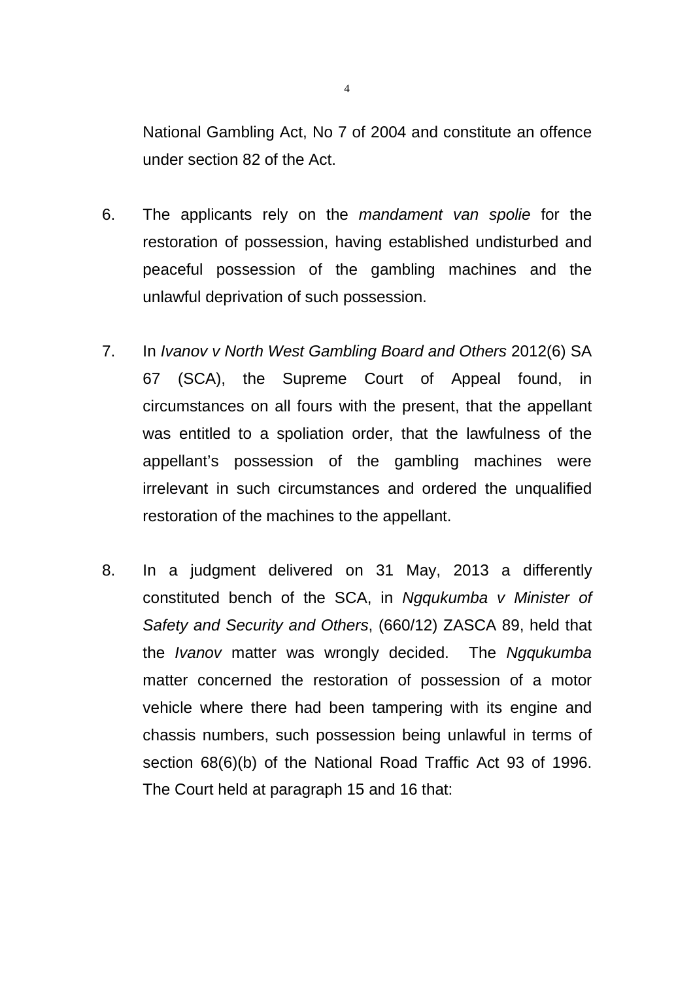National Gambling Act, No 7 of 2004 and constitute an offence under section 82 of the Act.

- 6. The applicants rely on the mandament van spolie for the restoration of possession, having established undisturbed and peaceful possession of the gambling machines and the unlawful deprivation of such possession.
- 7. In Ivanov v North West Gambling Board and Others 2012(6) SA 67 (SCA), the Supreme Court of Appeal found, in circumstances on all fours with the present, that the appellant was entitled to a spoliation order, that the lawfulness of the appellant's possession of the gambling machines were irrelevant in such circumstances and ordered the unqualified restoration of the machines to the appellant.
- 8. In a judgment delivered on 31 May, 2013 a differently constituted bench of the SCA, in Ngqukumba v Minister of Safety and Security and Others, (660/12) ZASCA 89, held that the Ivanov matter was wrongly decided. The Ngqukumba matter concerned the restoration of possession of a motor vehicle where there had been tampering with its engine and chassis numbers, such possession being unlawful in terms of section 68(6)(b) of the National Road Traffic Act 93 of 1996. The Court held at paragraph 15 and 16 that:

4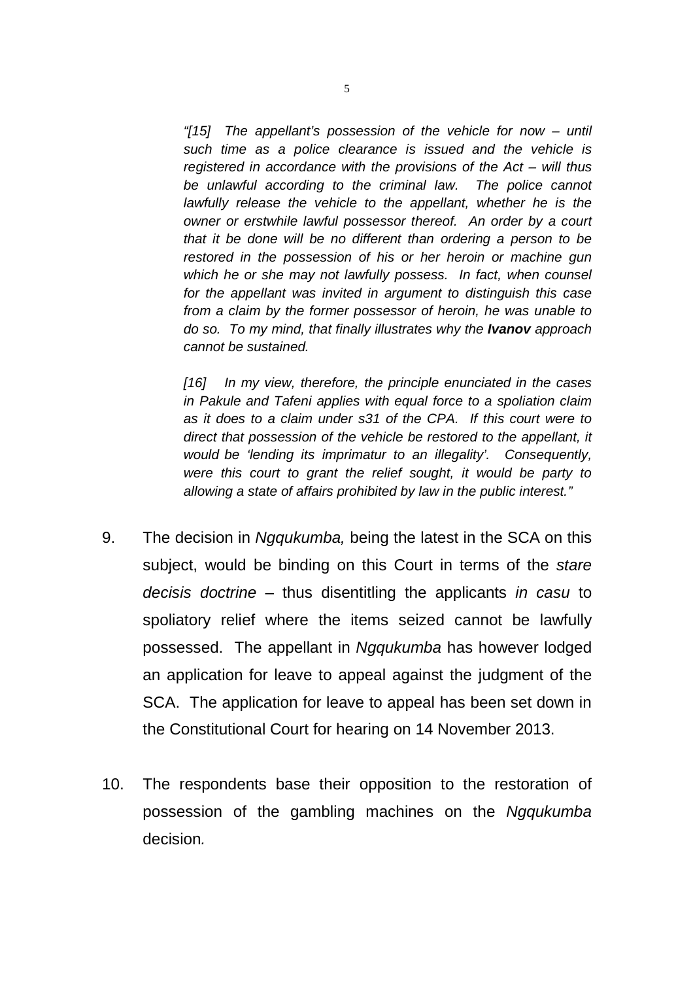"[15] The appellant's possession of the vehicle for now – until such time as a police clearance is issued and the vehicle is registered in accordance with the provisions of the Act – will thus be unlawful according to the criminal law. The police cannot lawfully release the vehicle to the appellant, whether he is the owner or erstwhile lawful possessor thereof. An order by a court that it be done will be no different than ordering a person to be restored in the possession of his or her heroin or machine gun which he or she may not lawfully possess. In fact, when counsel for the appellant was invited in argument to distinguish this case from a claim by the former possessor of heroin, he was unable to do so. To my mind, that finally illustrates why the **Ivanov** approach cannot be sustained.

[16] In my view, therefore, the principle enunciated in the cases in Pakule and Tafeni applies with equal force to a spoliation claim as it does to a claim under s31 of the CPA. If this court were to direct that possession of the vehicle be restored to the appellant, it would be 'lending its imprimatur to an illegality'. Consequently, were this court to grant the relief sought, it would be party to allowing a state of affairs prohibited by law in the public interest."

- 9. The decision in Ngqukumba, being the latest in the SCA on this subject, would be binding on this Court in terms of the stare decisis doctrine – thus disentitling the applicants in casu to spoliatory relief where the items seized cannot be lawfully possessed. The appellant in Ngqukumba has however lodged an application for leave to appeal against the judgment of the SCA. The application for leave to appeal has been set down in the Constitutional Court for hearing on 14 November 2013.
- 10. The respondents base their opposition to the restoration of possession of the gambling machines on the Ngqukumba decision.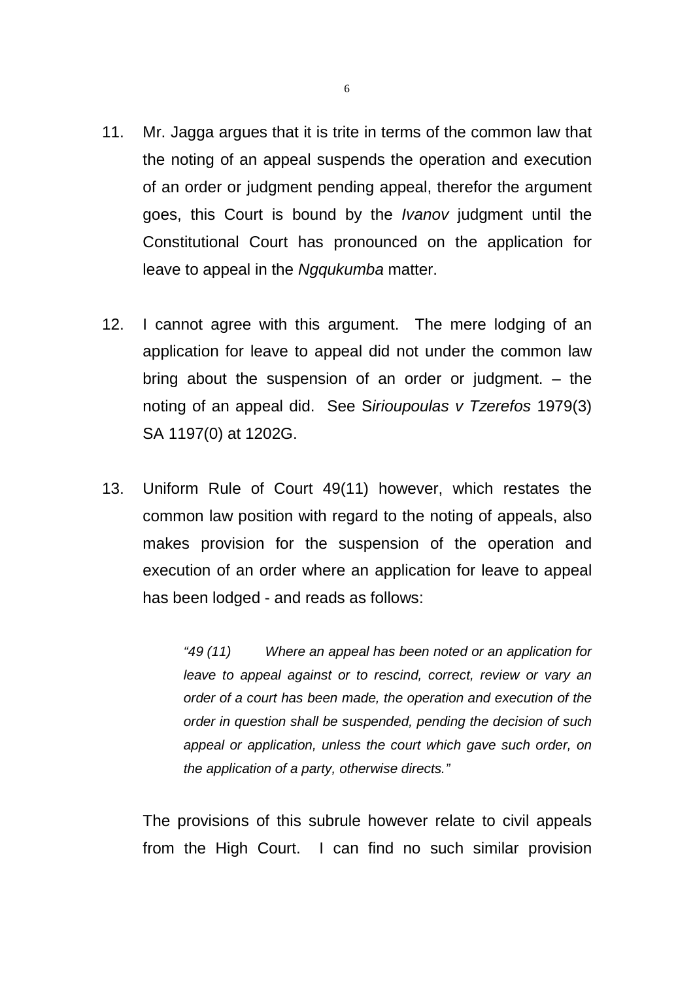- 11. Mr. Jagga argues that it is trite in terms of the common law that the noting of an appeal suspends the operation and execution of an order or judgment pending appeal, therefor the argument goes, this Court is bound by the Ivanov judgment until the Constitutional Court has pronounced on the application for leave to appeal in the Ngqukumba matter.
- 12. I cannot agree with this argument. The mere lodging of an application for leave to appeal did not under the common law bring about the suspension of an order or judgment. – the noting of an appeal did. See Sirioupoulas v Tzerefos 1979(3) SA 1197(0) at 1202G.
- 13. Uniform Rule of Court 49(11) however, which restates the common law position with regard to the noting of appeals, also makes provision for the suspension of the operation and execution of an order where an application for leave to appeal has been lodged - and reads as follows:

"49 (11) Where an appeal has been noted or an application for leave to appeal against or to rescind, correct, review or vary an order of a court has been made, the operation and execution of the order in question shall be suspended, pending the decision of such appeal or application, unless the court which gave such order, on the application of a party, otherwise directs."

 The provisions of this subrule however relate to civil appeals from the High Court. I can find no such similar provision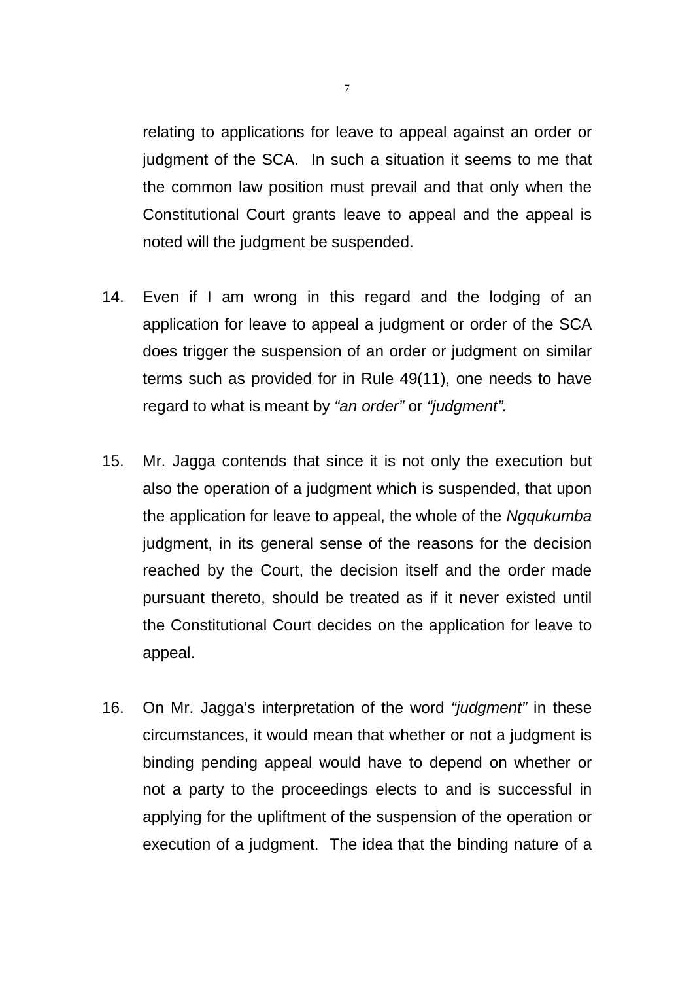relating to applications for leave to appeal against an order or judgment of the SCA. In such a situation it seems to me that the common law position must prevail and that only when the Constitutional Court grants leave to appeal and the appeal is noted will the judgment be suspended.

- 14. Even if I am wrong in this regard and the lodging of an application for leave to appeal a judgment or order of the SCA does trigger the suspension of an order or judgment on similar terms such as provided for in Rule 49(11), one needs to have regard to what is meant by "an order" or "judgment".
- 15. Mr. Jagga contends that since it is not only the execution but also the operation of a judgment which is suspended, that upon the application for leave to appeal, the whole of the Ngqukumba judgment, in its general sense of the reasons for the decision reached by the Court, the decision itself and the order made pursuant thereto, should be treated as if it never existed until the Constitutional Court decides on the application for leave to appeal.
- 16. On Mr. Jagga's interpretation of the word "judgment" in these circumstances, it would mean that whether or not a judgment is binding pending appeal would have to depend on whether or not a party to the proceedings elects to and is successful in applying for the upliftment of the suspension of the operation or execution of a judgment. The idea that the binding nature of a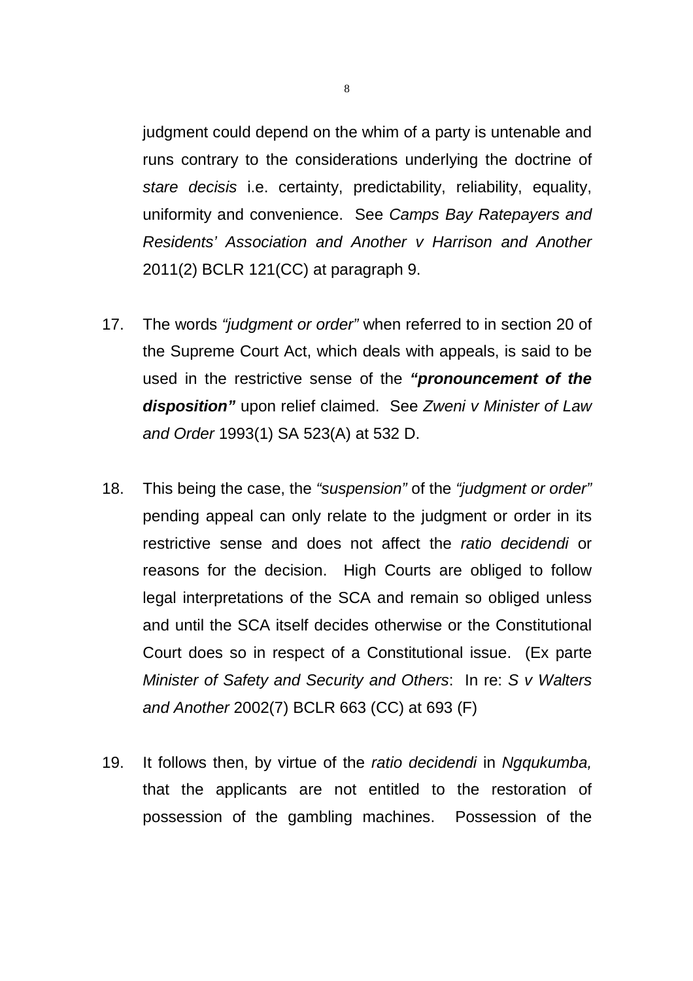judgment could depend on the whim of a party is untenable and runs contrary to the considerations underlying the doctrine of stare decisis i.e. certainty, predictability, reliability, equality, uniformity and convenience. See Camps Bay Ratepayers and Residents' Association and Another v Harrison and Another 2011(2) BCLR 121(CC) at paragraph 9.

- 17. The words "judgment or order" when referred to in section 20 of the Supreme Court Act, which deals with appeals, is said to be used in the restrictive sense of the **"pronouncement of the disposition"** upon relief claimed. See Zweni v Minister of Law and Order 1993(1) SA 523(A) at 532 D.
- 18. This being the case, the "suspension" of the "judgment or order" pending appeal can only relate to the judgment or order in its restrictive sense and does not affect the ratio decidendi or reasons for the decision. High Courts are obliged to follow legal interpretations of the SCA and remain so obliged unless and until the SCA itself decides otherwise or the Constitutional Court does so in respect of a Constitutional issue. (Ex parte Minister of Safety and Security and Others: In re: S v Walters and Another 2002(7) BCLR 663 (CC) at 693 (F)
- 19. It follows then, by virtue of the ratio decidendi in Ngqukumba, that the applicants are not entitled to the restoration of possession of the gambling machines. Possession of the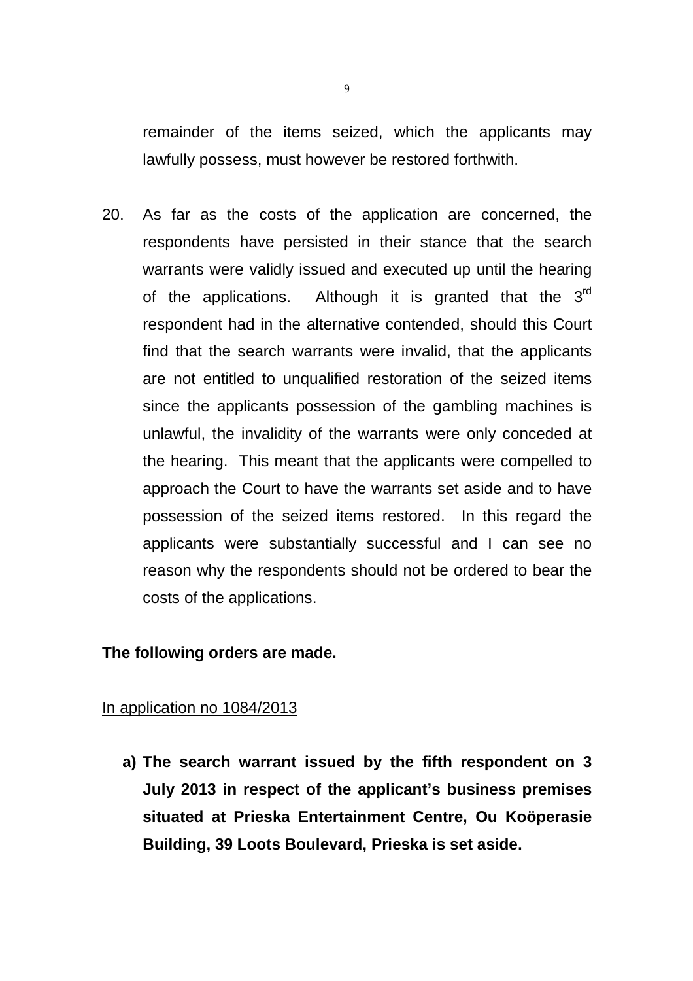remainder of the items seized, which the applicants may lawfully possess, must however be restored forthwith.

20. As far as the costs of the application are concerned, the respondents have persisted in their stance that the search warrants were validly issued and executed up until the hearing of the applications. Although it is granted that the  $3<sup>rd</sup>$ respondent had in the alternative contended, should this Court find that the search warrants were invalid, that the applicants are not entitled to unqualified restoration of the seized items since the applicants possession of the gambling machines is unlawful, the invalidity of the warrants were only conceded at the hearing. This meant that the applicants were compelled to approach the Court to have the warrants set aside and to have possession of the seized items restored. In this regard the applicants were substantially successful and I can see no reason why the respondents should not be ordered to bear the costs of the applications.

#### **The following orders are made.**

#### In application no 1084/2013

**a) The search warrant issued by the fifth respondent on 3 July 2013 in respect of the applicant's business premises situated at Prieska Entertainment Centre, Ou Koöperasie Building, 39 Loots Boulevard, Prieska is set aside.**

9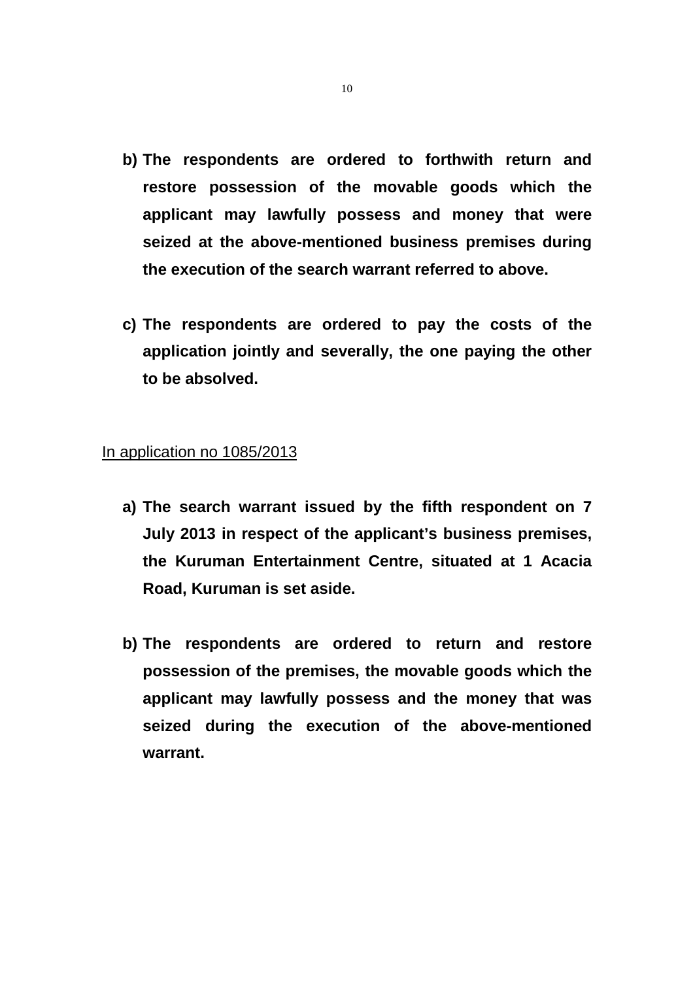- **b) The respondents are ordered to forthwith return and restore possession of the movable goods which the applicant may lawfully possess and money that were seized at the above-mentioned business premises during the execution of the search warrant referred to above.**
- **c) The respondents are ordered to pay the costs of the application jointly and severally, the one paying the other to be absolved.**

#### In application no 1085/2013

- **a) The search warrant issued by the fifth respondent on 7 July 2013 in respect of the applicant's business premises, the Kuruman Entertainment Centre, situated at 1 Acacia Road, Kuruman is set aside.**
- **b) The respondents are ordered to return and restore possession of the premises, the movable goods which the applicant may lawfully possess and the money that was seized during the execution of the above-mentioned warrant.**